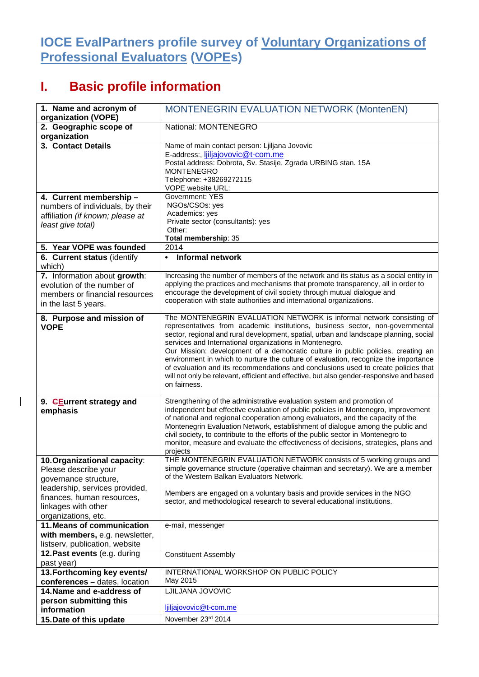## **IOCE EvalPartners profile survey of Voluntary Organizations of Professional Evaluators (VOPEs)**

## **I. Basic profile information**

 $\overline{1}$ 

| 1. Name and acronym of<br>organization (VOPE) | MONTENEGRIN EVALUATION NETWORK (MontenEN)                                                                                                                                |
|-----------------------------------------------|--------------------------------------------------------------------------------------------------------------------------------------------------------------------------|
| 2. Geographic scope of                        | National: MONTENEGRO                                                                                                                                                     |
| organization                                  |                                                                                                                                                                          |
| 3. Contact Details                            | Name of main contact person: Ljiljana Jovovic                                                                                                                            |
|                                               | E-address:, <i>ljiljajovovic@t-com.me</i>                                                                                                                                |
|                                               | Postal address: Dobrota, Sv. Stasije, Zgrada URBING stan. 15A                                                                                                            |
|                                               | <b>MONTENEGRO</b>                                                                                                                                                        |
|                                               | Telephone: +38269272115                                                                                                                                                  |
|                                               | VOPE website URL:                                                                                                                                                        |
| 4. Current membership -                       | <b>Government: YES</b>                                                                                                                                                   |
| numbers of individuals, by their              | NGOs/CSOs: yes                                                                                                                                                           |
| affiliation (if known; please at              | Academics: yes                                                                                                                                                           |
| least give total)                             | Private sector (consultants): yes                                                                                                                                        |
|                                               | Other:                                                                                                                                                                   |
|                                               | Total membership: 35                                                                                                                                                     |
| 5. Year VOPE was founded                      | 2014                                                                                                                                                                     |
| 6. Current status (identify                   | <b>Informal network</b><br>$\bullet$                                                                                                                                     |
| which)                                        |                                                                                                                                                                          |
| 7. Information about growth:                  | Increasing the number of members of the network and its status as a social entity in                                                                                     |
| evolution of the number of                    | applying the practices and mechanisms that promote transparency, all in order to                                                                                         |
| members or financial resources                | encourage the development of civil society through mutual dialogue and                                                                                                   |
| in the last 5 years.                          | cooperation with state authorities and international organizations.                                                                                                      |
|                                               |                                                                                                                                                                          |
| 8. Purpose and mission of                     | The MONTENEGRIN EVALUATION NETWORK is informal network consisting of                                                                                                     |
| <b>VOPE</b>                                   | representatives from academic institutions, business sector, non-governmental                                                                                            |
|                                               | sector, regional and rural development, spatial, urban and landscape planning, social<br>services and International organizations in Montenegro.                         |
|                                               | Our Mission: development of a democratic culture in public policies, creating an                                                                                         |
|                                               | environment in which to nurture the culture of evaluation, recognize the importance                                                                                      |
|                                               | of evaluation and its recommendations and conclusions used to create policies that                                                                                       |
|                                               | will not only be relevant, efficient and effective, but also gender-responsive and based                                                                                 |
|                                               | on fairness.                                                                                                                                                             |
|                                               |                                                                                                                                                                          |
| 9. GEurrent strategy and                      | Strengthening of the administrative evaluation system and promotion of                                                                                                   |
| emphasis                                      | independent but effective evaluation of public policies in Montenegro, improvement                                                                                       |
|                                               | of national and regional cooperation among evaluators, and the capacity of the                                                                                           |
|                                               | Montenegrin Evaluation Network, establishment of dialogue among the public and                                                                                           |
|                                               | civil society, to contribute to the efforts of the public sector in Montenegro to<br>monitor, measure and evaluate the effectiveness of decisions, strategies, plans and |
|                                               | projects                                                                                                                                                                 |
| 10. Organizational capacity:                  | THE MONTENEGRIN EVALUATION NETWORK consists of 5 working groups and                                                                                                      |
| Please describe your                          | simple governance structure (operative chairman and secretary). We are a member                                                                                          |
| governance structure,                         | of the Western Balkan Evaluators Network.                                                                                                                                |
| leadership, services provided,                |                                                                                                                                                                          |
| finances, human resources,                    | Members are engaged on a voluntary basis and provide services in the NGO                                                                                                 |
|                                               | sector, and methodological research to several educational institutions.                                                                                                 |
| linkages with other                           |                                                                                                                                                                          |
| organizations, etc.                           |                                                                                                                                                                          |
| 11. Means of communication                    | e-mail, messenger                                                                                                                                                        |
| with members, e.g. newsletter,                |                                                                                                                                                                          |
| listserv, publication, website                |                                                                                                                                                                          |
| 12. Past events (e.g. during                  | <b>Constituent Assembly</b>                                                                                                                                              |
| past year)                                    |                                                                                                                                                                          |
| 13. Forthcoming key events/                   | INTERNATIONAL WORKSHOP ON PUBLIC POLICY                                                                                                                                  |
| conferences - dates, location                 | May 2015                                                                                                                                                                 |
| 14. Name and e-address of                     | LJILJANA JOVOVIC                                                                                                                                                         |
| person submitting this                        |                                                                                                                                                                          |
| information                                   | ljiljajovovic@t-com.me                                                                                                                                                   |
| 15. Date of this update                       | November 23rd 2014                                                                                                                                                       |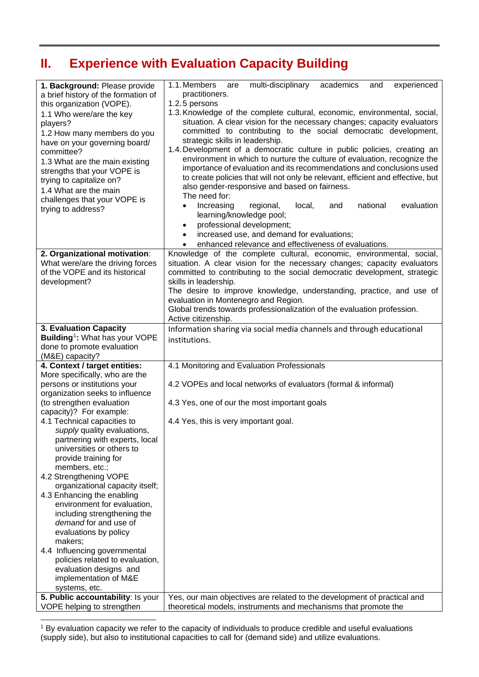## **II. Experience with Evaluation Capacity Building**

| 1. Background: Please provide<br>a brief history of the formation of<br>this organization (VOPE).<br>1.1 Who were/are the key<br>players?<br>1.2 How many members do you<br>have on your governing board/<br>committee?<br>1.3 What are the main existing<br>strengths that your VOPE is<br>trying to capitalize on?<br>1.4 What are the main<br>challenges that your VOPE is<br>trying to address? | multi-disciplinary<br>1.1. Members<br>academics<br>experienced<br>are<br>and<br>practitioners.<br>1.2.5 persons<br>1.3. Knowledge of the complete cultural, economic, environmental, social,<br>situation. A clear vision for the necessary changes; capacity evaluators<br>committed to contributing to the social democratic development,<br>strategic skills in leadership.<br>1.4. Development of a democratic culture in public policies, creating an<br>environment in which to nurture the culture of evaluation, recognize the<br>importance of evaluation and its recommendations and conclusions used<br>to create policies that will not only be relevant, efficient and effective, but<br>also gender-responsive and based on fairness.<br>The need for:<br>national<br>evaluation<br>Increasing<br>regional,<br>local,<br>and<br>$\bullet$<br>learning/knowledge pool;<br>professional development;<br>$\bullet$<br>increased use, and demand for evaluations;<br>$\bullet$<br>enhanced relevance and effectiveness of evaluations.<br>$\bullet$ |
|-----------------------------------------------------------------------------------------------------------------------------------------------------------------------------------------------------------------------------------------------------------------------------------------------------------------------------------------------------------------------------------------------------|---------------------------------------------------------------------------------------------------------------------------------------------------------------------------------------------------------------------------------------------------------------------------------------------------------------------------------------------------------------------------------------------------------------------------------------------------------------------------------------------------------------------------------------------------------------------------------------------------------------------------------------------------------------------------------------------------------------------------------------------------------------------------------------------------------------------------------------------------------------------------------------------------------------------------------------------------------------------------------------------------------------------------------------------------------------|
| 2. Organizational motivation:                                                                                                                                                                                                                                                                                                                                                                       | Knowledge of the complete cultural, economic, environmental, social,                                                                                                                                                                                                                                                                                                                                                                                                                                                                                                                                                                                                                                                                                                                                                                                                                                                                                                                                                                                          |
| What were/are the driving forces<br>of the VOPE and its historical<br>development?                                                                                                                                                                                                                                                                                                                  | situation. A clear vision for the necessary changes; capacity evaluators<br>committed to contributing to the social democratic development, strategic<br>skills in leadership.<br>The desire to improve knowledge, understanding, practice, and use of<br>evaluation in Montenegro and Region.<br>Global trends towards professionalization of the evaluation profession.<br>Active citizenship.                                                                                                                                                                                                                                                                                                                                                                                                                                                                                                                                                                                                                                                              |
| 3. Evaluation Capacity<br>Building <sup>1</sup> : What has your VOPE<br>done to promote evaluation<br>(M&E) capacity?                                                                                                                                                                                                                                                                               | Information sharing via social media channels and through educational<br>institutions.                                                                                                                                                                                                                                                                                                                                                                                                                                                                                                                                                                                                                                                                                                                                                                                                                                                                                                                                                                        |
| 4. Context / target entities:                                                                                                                                                                                                                                                                                                                                                                       | 4.1 Monitoring and Evaluation Professionals                                                                                                                                                                                                                                                                                                                                                                                                                                                                                                                                                                                                                                                                                                                                                                                                                                                                                                                                                                                                                   |
| More specifically, who are the                                                                                                                                                                                                                                                                                                                                                                      |                                                                                                                                                                                                                                                                                                                                                                                                                                                                                                                                                                                                                                                                                                                                                                                                                                                                                                                                                                                                                                                               |
| persons or institutions your<br>organization seeks to influence                                                                                                                                                                                                                                                                                                                                     | 4.2 VOPEs and local networks of evaluators (formal & informal)                                                                                                                                                                                                                                                                                                                                                                                                                                                                                                                                                                                                                                                                                                                                                                                                                                                                                                                                                                                                |
| (to strengthen evaluation<br>capacity)? For example:                                                                                                                                                                                                                                                                                                                                                | 4.3 Yes, one of our the most important goals                                                                                                                                                                                                                                                                                                                                                                                                                                                                                                                                                                                                                                                                                                                                                                                                                                                                                                                                                                                                                  |
| 4.1 Technical capacities to                                                                                                                                                                                                                                                                                                                                                                         | 4.4 Yes, this is very important goal.                                                                                                                                                                                                                                                                                                                                                                                                                                                                                                                                                                                                                                                                                                                                                                                                                                                                                                                                                                                                                         |
| supply quality evaluations,<br>partnering with experts, local<br>universities or others to<br>provide training for<br>members, etc.;                                                                                                                                                                                                                                                                |                                                                                                                                                                                                                                                                                                                                                                                                                                                                                                                                                                                                                                                                                                                                                                                                                                                                                                                                                                                                                                                               |
| 4.2 Strengthening VOPE                                                                                                                                                                                                                                                                                                                                                                              |                                                                                                                                                                                                                                                                                                                                                                                                                                                                                                                                                                                                                                                                                                                                                                                                                                                                                                                                                                                                                                                               |
| organizational capacity itself;<br>4.3 Enhancing the enabling                                                                                                                                                                                                                                                                                                                                       |                                                                                                                                                                                                                                                                                                                                                                                                                                                                                                                                                                                                                                                                                                                                                                                                                                                                                                                                                                                                                                                               |
| environment for evaluation,<br>including strengthening the<br>demand for and use of<br>evaluations by policy                                                                                                                                                                                                                                                                                        |                                                                                                                                                                                                                                                                                                                                                                                                                                                                                                                                                                                                                                                                                                                                                                                                                                                                                                                                                                                                                                                               |
| makers;                                                                                                                                                                                                                                                                                                                                                                                             |                                                                                                                                                                                                                                                                                                                                                                                                                                                                                                                                                                                                                                                                                                                                                                                                                                                                                                                                                                                                                                                               |
| 4.4 Influencing governmental<br>policies related to evaluation,                                                                                                                                                                                                                                                                                                                                     |                                                                                                                                                                                                                                                                                                                                                                                                                                                                                                                                                                                                                                                                                                                                                                                                                                                                                                                                                                                                                                                               |
| evaluation designs and                                                                                                                                                                                                                                                                                                                                                                              |                                                                                                                                                                                                                                                                                                                                                                                                                                                                                                                                                                                                                                                                                                                                                                                                                                                                                                                                                                                                                                                               |
| implementation of M&E                                                                                                                                                                                                                                                                                                                                                                               |                                                                                                                                                                                                                                                                                                                                                                                                                                                                                                                                                                                                                                                                                                                                                                                                                                                                                                                                                                                                                                                               |
| systems, etc.<br>5. Public accountability: Is your                                                                                                                                                                                                                                                                                                                                                  | Yes, our main objectives are related to the development of practical and                                                                                                                                                                                                                                                                                                                                                                                                                                                                                                                                                                                                                                                                                                                                                                                                                                                                                                                                                                                      |
| VOPE helping to strengthen                                                                                                                                                                                                                                                                                                                                                                          | theoretical models, instruments and mechanisms that promote the                                                                                                                                                                                                                                                                                                                                                                                                                                                                                                                                                                                                                                                                                                                                                                                                                                                                                                                                                                                               |

<span id="page-1-0"></span><sup>1</sup> By evaluation capacity we refer to the capacity of individuals to produce credible and useful evaluations (supply side), but also to institutional capacities to call for (demand side) and utilize evaluations. j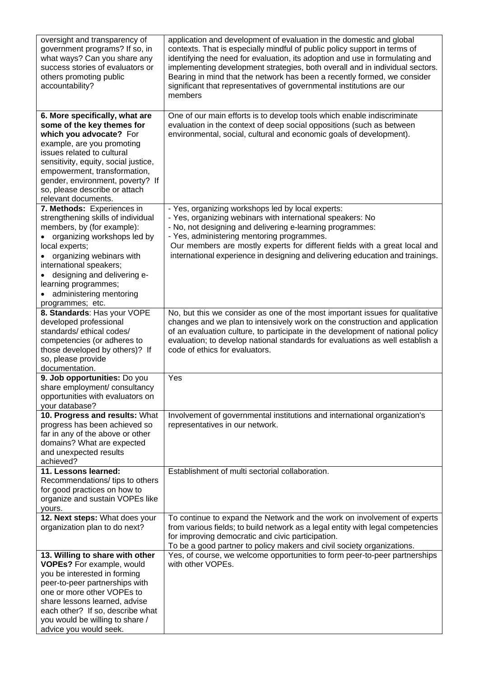| oversight and transparency of<br>government programs? If so, in<br>what ways? Can you share any<br>success stories of evaluators or<br>others promoting public<br>accountability?                                                                                                                                       | application and development of evaluation in the domestic and global<br>contexts. That is especially mindful of public policy support in terms of<br>identifying the need for evaluation, its adoption and use in formulating and<br>implementing development strategies, both overall and in individual sectors.<br>Bearing in mind that the network has been a recently formed, we consider<br>significant that representatives of governmental institutions are our<br>members |
|-------------------------------------------------------------------------------------------------------------------------------------------------------------------------------------------------------------------------------------------------------------------------------------------------------------------------|-----------------------------------------------------------------------------------------------------------------------------------------------------------------------------------------------------------------------------------------------------------------------------------------------------------------------------------------------------------------------------------------------------------------------------------------------------------------------------------|
| 6. More specifically, what are<br>some of the key themes for<br>which you advocate? For<br>example, are you promoting<br>issues related to cultural<br>sensitivity, equity, social justice,<br>empowerment, transformation,<br>gender, environment, poverty? If<br>so, please describe or attach<br>relevant documents. | One of our main efforts is to develop tools which enable indiscriminate<br>evaluation in the context of deep social oppositions (such as between<br>environmental, social, cultural and economic goals of development).                                                                                                                                                                                                                                                           |
| 7. Methods: Experiences in<br>strengthening skills of individual<br>members, by (for example):<br>organizing workshops led by<br>local experts;<br>organizing webinars with<br>international speakers;<br>designing and delivering e-<br>learning programmes;<br>administering mentoring<br>programmes; etc.            | - Yes, organizing workshops led by local experts:<br>- Yes, organizing webinars with international speakers: No<br>- No, not designing and delivering e-learning programmes:<br>- Yes, administering mentoring programmes.<br>Our members are mostly experts for different fields with a great local and<br>international experience in designing and delivering education and trainings.                                                                                         |
| 8. Standards: Has your VOPE<br>developed professional<br>standards/ethical codes/<br>competencies (or adheres to<br>those developed by others)? If<br>so, please provide<br>documentation.                                                                                                                              | No, but this we consider as one of the most important issues for qualitative<br>changes and we plan to intensively work on the construction and application<br>of an evaluation culture, to participate in the development of national policy<br>evaluation; to develop national standards for evaluations as well establish a<br>code of ethics for evaluators.                                                                                                                  |
| 9. Job opportunities: Do you<br>share employment/ consultancy<br>opportunities with evaluators on<br>your database?                                                                                                                                                                                                     | Yes                                                                                                                                                                                                                                                                                                                                                                                                                                                                               |
| 10. Progress and results: What<br>progress has been achieved so<br>far in any of the above or other<br>domains? What are expected<br>and unexpected results<br>achieved?                                                                                                                                                | Involvement of governmental institutions and international organization's<br>representatives in our network.                                                                                                                                                                                                                                                                                                                                                                      |
| 11. Lessons learned:<br>Recommendations/tips to others<br>for good practices on how to<br>organize and sustain VOPEs like<br>yours.                                                                                                                                                                                     | Establishment of multi sectorial collaboration.                                                                                                                                                                                                                                                                                                                                                                                                                                   |
| 12. Next steps: What does your<br>organization plan to do next?                                                                                                                                                                                                                                                         | To continue to expand the Network and the work on involvement of experts<br>from various fields; to build network as a legal entity with legal competencies<br>for improving democratic and civic participation.<br>To be a good partner to policy makers and civil society organizations.                                                                                                                                                                                        |
| 13. Willing to share with other<br><b>VOPEs?</b> For example, would<br>you be interested in forming<br>peer-to-peer partnerships with<br>one or more other VOPEs to<br>share lessons learned, advise<br>each other? If so, describe what<br>you would be willing to share /<br>advice you would seek.                   | Yes, of course, we welcome opportunities to form peer-to-peer partnerships<br>with other VOPEs.                                                                                                                                                                                                                                                                                                                                                                                   |